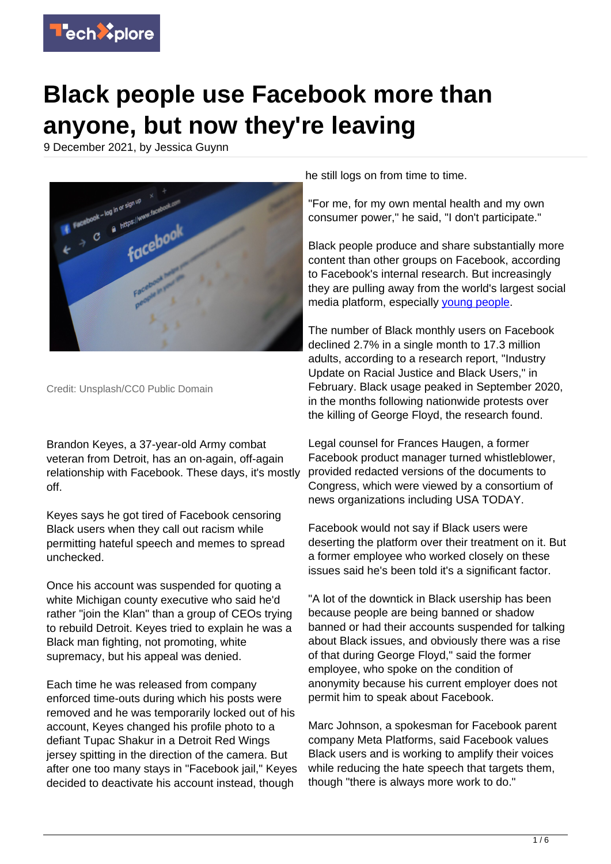

# **Black people use Facebook more than anyone, but now they're leaving**

9 December 2021, by Jessica Guynn



Credit: Unsplash/CC0 Public Domain

Brandon Keyes, a 37-year-old Army combat veteran from Detroit, has an on-again, off-again relationship with Facebook. These days, it's mostly off.

Keyes says he got tired of Facebook censoring Black users when they call out racism while permitting hateful speech and memes to spread unchecked.

Once his account was suspended for quoting a white Michigan county executive who said he'd rather "join the Klan" than a group of CEOs trying to rebuild Detroit. Keyes tried to explain he was a Black man fighting, not promoting, white supremacy, but his appeal was denied.

Each time he was released from company enforced time-outs during which his posts were removed and he was temporarily locked out of his account, Keyes changed his profile photo to a defiant Tupac Shakur in a Detroit Red Wings jersey spitting in the direction of the camera. But after one too many stays in "Facebook jail," Keyes decided to deactivate his account instead, though

he still logs on from time to time.

"For me, for my own mental health and my own consumer power," he said, "I don't participate."

Black people produce and share substantially more content than other groups on Facebook, according to Facebook's internal research. But increasingly they are pulling away from the world's largest social media platform, especially [young people.](https://techxplore.com/tags/young+people/)

The number of Black monthly users on Facebook declined 2.7% in a single month to 17.3 million adults, according to a research report, "Industry Update on Racial Justice and Black Users," in February. Black usage peaked in September 2020, in the months following nationwide protests over the killing of George Floyd, the research found.

Legal counsel for Frances Haugen, a former Facebook product manager turned whistleblower, provided redacted versions of the documents to Congress, which were viewed by a consortium of news organizations including USA TODAY.

Facebook would not say if Black users were deserting the platform over their treatment on it. But a former employee who worked closely on these issues said he's been told it's a significant factor.

"A lot of the downtick in Black usership has been because people are being banned or shadow banned or had their accounts suspended for talking about Black issues, and obviously there was a rise of that during George Floyd," said the former employee, who spoke on the condition of anonymity because his current employer does not permit him to speak about Facebook.

Marc Johnson, a spokesman for Facebook parent company Meta Platforms, said Facebook values Black users and is working to amplify their voices while reducing the hate speech that targets them, though "there is always more work to do."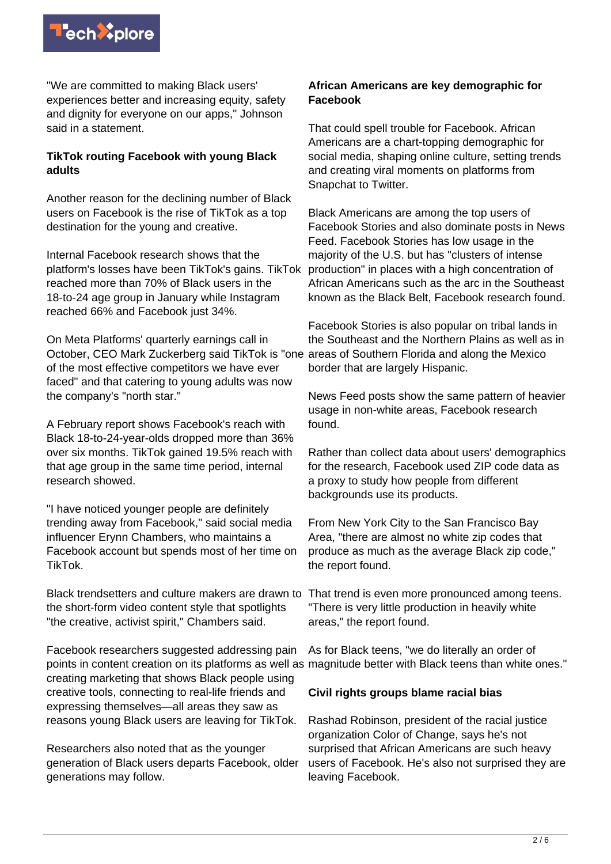

"We are committed to making Black users' experiences better and increasing equity, safety and dignity for everyone on our apps," Johnson said in a statement.

## **TikTok routing Facebook with young Black adults**

Another reason for the declining number of Black users on Facebook is the rise of TikTok as a top destination for the young and creative.

Internal Facebook research shows that the platform's losses have been TikTok's gains. TikTok reached more than 70% of Black users in the 18-to-24 age group in January while Instagram reached 66% and Facebook just 34%.

On Meta Platforms' quarterly earnings call in October, CEO Mark Zuckerberg said TikTok is "one of the most effective competitors we have ever faced" and that catering to young adults was now the company's "north star."

A February report shows Facebook's reach with Black 18-to-24-year-olds dropped more than 36% over six months. TikTok gained 19.5% reach with that age group in the same time period, internal research showed.

"I have noticed younger people are definitely trending away from Facebook," said social media influencer Erynn Chambers, who maintains a Facebook account but spends most of her time on TikTok.

Black trendsetters and culture makers are drawn to That trend is even more pronounced among teens. the short-form video content style that spotlights "the creative, activist spirit," Chambers said.

Facebook researchers suggested addressing pain creating marketing that shows Black people using creative tools, connecting to real-life friends and expressing themselves—all areas they saw as reasons young Black users are leaving for TikTok.

Researchers also noted that as the younger generation of Black users departs Facebook, older generations may follow.

## **African Americans are key demographic for Facebook**

That could spell trouble for Facebook. African Americans are a chart-topping demographic for social media, shaping online culture, setting trends and creating viral moments on platforms from Snapchat to Twitter.

Black Americans are among the top users of Facebook Stories and also dominate posts in News Feed. Facebook Stories has low usage in the majority of the U.S. but has "clusters of intense production" in places with a high concentration of African Americans such as the arc in the Southeast known as the Black Belt, Facebook research found.

Facebook Stories is also popular on tribal lands in the Southeast and the Northern Plains as well as in areas of Southern Florida and along the Mexico border that are largely Hispanic.

News Feed posts show the same pattern of heavier usage in non-white areas, Facebook research found.

Rather than collect data about users' demographics for the research, Facebook used ZIP code data as a proxy to study how people from different backgrounds use its products.

From New York City to the San Francisco Bay Area, "there are almost no white zip codes that produce as much as the average Black zip code," the report found.

"There is very little production in heavily white areas," the report found.

points in content creation on its platforms as well as magnitude better with Black teens than white ones." As for Black teens, "we do literally an order of

### **Civil rights groups blame racial bias**

Rashad Robinson, president of the racial justice organization Color of Change, says he's not surprised that African Americans are such heavy users of Facebook. He's also not surprised they are leaving Facebook.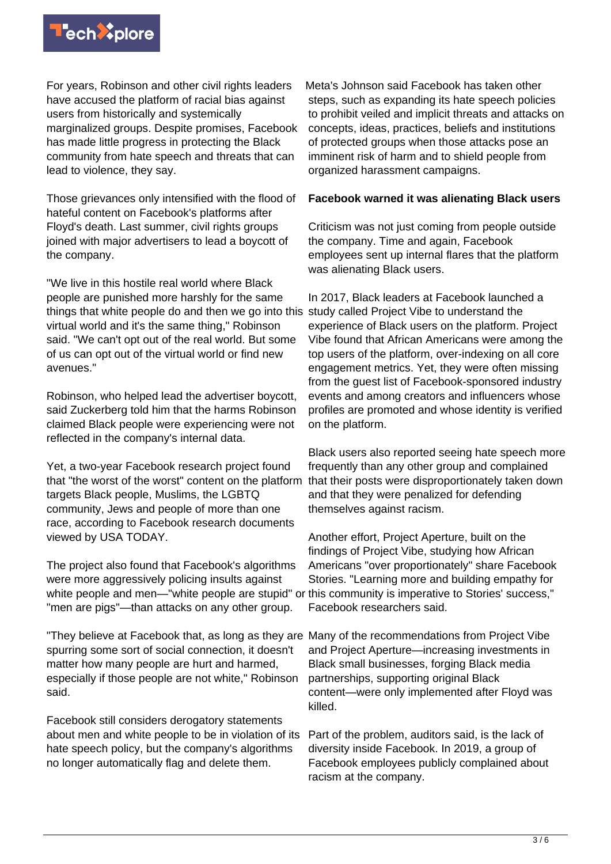

For years, Robinson and other civil rights leaders have accused the platform of racial bias against users from historically and systemically marginalized groups. Despite promises, Facebook has made little progress in protecting the Black community from hate speech and threats that can lead to violence, they say.

Those grievances only intensified with the flood of hateful content on Facebook's platforms after Floyd's death. Last summer, civil rights groups joined with major advertisers to lead a boycott of the company.

"We live in this hostile real world where Black people are punished more harshly for the same things that white people do and then we go into this virtual world and it's the same thing," Robinson said. "We can't opt out of the real world. But some of us can opt out of the virtual world or find new avenues."

Robinson, who helped lead the advertiser boycott, said Zuckerberg told him that the harms Robinson claimed Black people were experiencing were not reflected in the company's internal data.

Yet, a two-year Facebook research project found that "the worst of the worst" content on the platform targets Black people, Muslims, the LGBTQ community, Jews and people of more than one race, according to Facebook research documents viewed by USA TODAY.

The project also found that Facebook's algorithms were more aggressively policing insults against white people and men—"white people are stupid" or this community is imperative to Stories' success," "men are pigs"—than attacks on any other group.

"They believe at Facebook that, as long as they are Many of the recommendations from Project Vibe spurring some sort of social connection, it doesn't matter how many people are hurt and harmed, especially if those people are not white," Robinson said.

Facebook still considers derogatory statements about men and white people to be in violation of its hate speech policy, but the company's algorithms no longer automatically flag and delete them.

Meta's Johnson said Facebook has taken other steps, such as expanding its hate speech policies to prohibit veiled and implicit threats and attacks on concepts, ideas, practices, beliefs and institutions of protected groups when those attacks pose an imminent risk of harm and to shield people from organized harassment campaigns.

#### **Facebook warned it was alienating Black users**

Criticism was not just coming from people outside the company. Time and again, Facebook employees sent up internal flares that the platform was alienating Black users.

In 2017, Black leaders at Facebook launched a study called Project Vibe to understand the experience of Black users on the platform. Project Vibe found that African Americans were among the top users of the platform, over-indexing on all core engagement metrics. Yet, they were often missing from the guest list of Facebook-sponsored industry events and among creators and influencers whose profiles are promoted and whose identity is verified on the platform.

Black users also reported seeing hate speech more frequently than any other group and complained that their posts were disproportionately taken down and that they were penalized for defending themselves against racism.

Another effort, Project Aperture, built on the findings of Project Vibe, studying how African Americans "over proportionately" share Facebook Stories. "Learning more and building empathy for Facebook researchers said.

and Project Aperture—increasing investments in Black small businesses, forging Black media partnerships, supporting original Black content—were only implemented after Floyd was killed.

Part of the problem, auditors said, is the lack of diversity inside Facebook. In 2019, a group of Facebook employees publicly complained about racism at the company.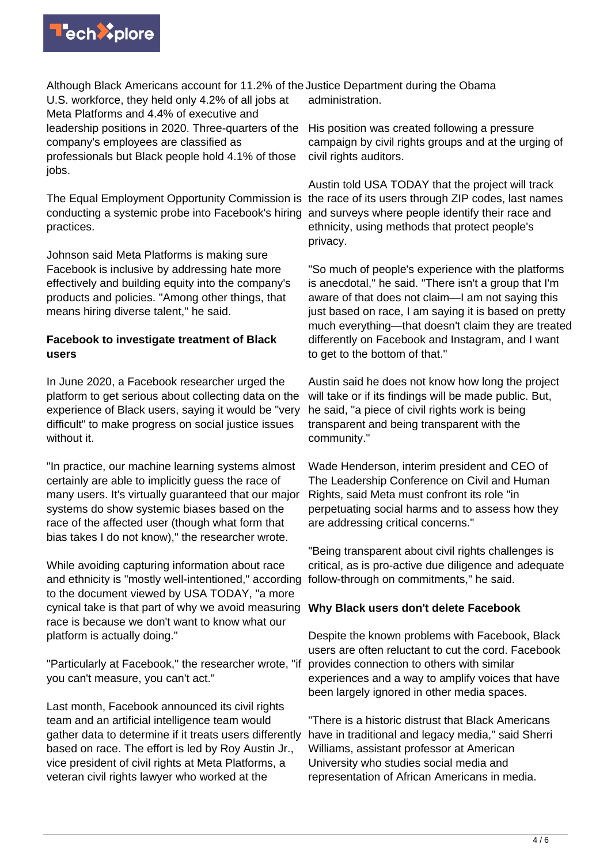

Although Black Americans account for 11.2% of the Justice Department during the Obama U.S. workforce, they held only 4.2% of all jobs at Meta Platforms and 4.4% of executive and leadership positions in 2020. Three-quarters of the company's employees are classified as professionals but Black people hold 4.1% of those jobs.

The Equal Employment Opportunity Commission is the race of its users through ZIP codes, last names conducting a systemic probe into Facebook's hiring and surveys where people identify their race and practices.

Johnson said Meta Platforms is making sure Facebook is inclusive by addressing hate more effectively and building equity into the company's products and policies. "Among other things, that means hiring diverse talent," he said.

## **Facebook to investigate treatment of Black users**

In June 2020, a Facebook researcher urged the platform to get serious about collecting data on the experience of Black users, saying it would be "very difficult" to make progress on social justice issues without it.

"In practice, our machine learning systems almost certainly are able to implicitly guess the race of many users. It's virtually guaranteed that our major systems do show systemic biases based on the race of the affected user (though what form that bias takes I do not know)," the researcher wrote.

While avoiding capturing information about race and ethnicity is "mostly well-intentioned," according to the document viewed by USA TODAY, "a more cynical take is that part of why we avoid measuring race is because we don't want to know what our platform is actually doing."

"Particularly at Facebook," the researcher wrote, "if you can't measure, you can't act."

Last month, Facebook announced its civil rights team and an artificial intelligence team would gather data to determine if it treats users differently based on race. The effort is led by Roy Austin Jr., vice president of civil rights at Meta Platforms, a veteran civil rights lawyer who worked at the

administration.

His position was created following a pressure campaign by civil rights groups and at the urging of civil rights auditors.

Austin told USA TODAY that the project will track ethnicity, using methods that protect people's privacy.

"So much of people's experience with the platforms is anecdotal," he said. "There isn't a group that I'm aware of that does not claim—I am not saying this just based on race, I am saying it is based on pretty much everything—that doesn't claim they are treated differently on Facebook and Instagram, and I want to get to the bottom of that."

Austin said he does not know how long the project will take or if its findings will be made public. But, he said, "a piece of civil rights work is being transparent and being transparent with the community."

Wade Henderson, interim president and CEO of The Leadership Conference on Civil and Human Rights, said Meta must confront its role "in perpetuating social harms and to assess how they are addressing critical concerns."

"Being transparent about civil rights challenges is critical, as is pro-active due diligence and adequate follow-through on commitments," he said.

## **Why Black users don't delete Facebook**

Despite the known problems with Facebook, Black users are often reluctant to cut the cord. Facebook provides connection to others with similar experiences and a way to amplify voices that have been largely ignored in other media spaces.

"There is a historic distrust that Black Americans have in traditional and legacy media," said Sherri Williams, assistant professor at American University who studies social media and representation of African Americans in media.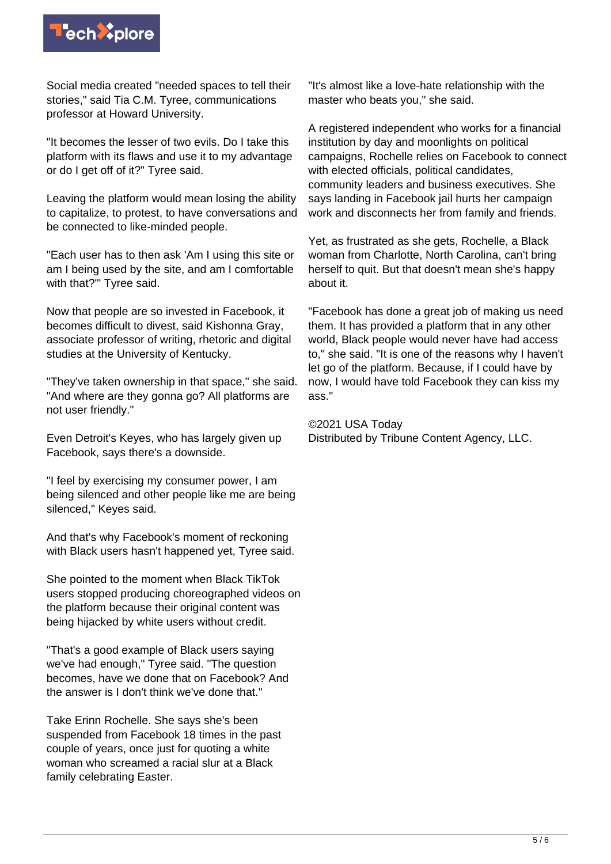

Social media created "needed spaces to tell their stories," said Tia C.M. Tyree, communications professor at Howard University.

"It becomes the lesser of two evils. Do I take this platform with its flaws and use it to my advantage or do I get off of it?" Tyree said.

Leaving the platform would mean losing the ability to capitalize, to protest, to have conversations and be connected to like-minded people.

"Each user has to then ask 'Am I using this site or am I being used by the site, and am I comfortable with that?'" Tyree said.

Now that people are so invested in Facebook, it becomes difficult to divest, said Kishonna Gray, associate professor of writing, rhetoric and digital studies at the University of Kentucky.

"They've taken ownership in that space," she said. "And where are they gonna go? All platforms are not user friendly."

Even Detroit's Keyes, who has largely given up Facebook, says there's a downside.

"I feel by exercising my consumer power, I am being silenced and other people like me are being silenced," Keyes said.

And that's why Facebook's moment of reckoning with Black users hasn't happened yet, Tyree said.

She pointed to the moment when Black TikTok users stopped producing choreographed videos on the platform because their original content was being hijacked by white users without credit.

"That's a good example of Black users saying we've had enough," Tyree said. "The question becomes, have we done that on Facebook? And the answer is I don't think we've done that."

Take Erinn Rochelle. She says she's been suspended from Facebook 18 times in the past couple of years, once just for quoting a white woman who screamed a racial slur at a Black family celebrating Easter.

"It's almost like a love-hate relationship with the master who beats you," she said.

A registered independent who works for a financial institution by day and moonlights on political campaigns, Rochelle relies on Facebook to connect with elected officials, political candidates, community leaders and business executives. She says landing in Facebook jail hurts her campaign work and disconnects her from family and friends.

Yet, as frustrated as she gets, Rochelle, a Black woman from Charlotte, North Carolina, can't bring herself to quit. But that doesn't mean she's happy about it.

"Facebook has done a great job of making us need them. It has provided a platform that in any other world, Black people would never have had access to," she said. "It is one of the reasons why I haven't let go of the platform. Because, if I could have by now, I would have told Facebook they can kiss my ass."

©2021 USA Today Distributed by Tribune Content Agency, LLC.